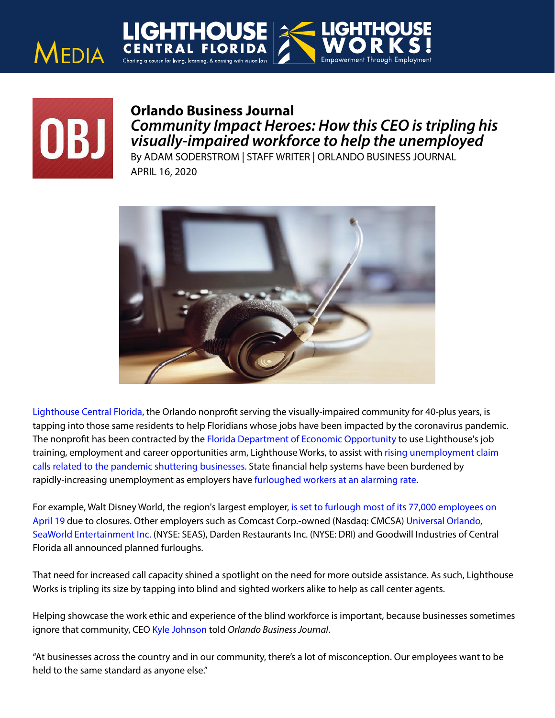



٦

## **Orlando Business Journal** *Community Impact Heroes: How this CEO is tripling his visually-impaired workforce to help the unemployed*

By ADAM SODERSTROM | STAFF WRITER | ORLANDO BUSINESS JOURNAL APRIL 16, 2020



[Lighthouse Central Florida,](https://lighthousecfl.org/) the Orlando nonprofit serving the visually-impaired community for 40-plus years, is tapping into those same residents to help Floridians whose jobs have been impacted by the coronavirus pandemic. The nonprofit has been contracted by the [Florida Department of Economic Opportunity](https://www.bizjournals.com/profile/company/org_ch_dc08755a5659e22a2531f16674897ec9) to use Lighthouse's job training, employment and career opportunities arm, Lighthouse Works, to assist with [rising unemployment claim](https://www.bizjournals.com/orlando/news/2020/04/09/florida-unemployment-claims-down-a-bitafter-2.html)  [calls related to the pandemic shuttering businesses.](https://www.bizjournals.com/orlando/news/2020/04/09/florida-unemployment-claims-down-a-bitafter-2.html) State financial help systems have been burdened by rapidly-increasing unemployment as employers have [furloughed workers at an alarming rate.](https://www.bizjournals.com/orlando/news/2020/04/10/coronavirus-these-local-companies-have-laid-off-or.html)

For example, Walt Disney World, the region's largest employer[, is set to furlough most of its 77,000 employees on](https://www.bizjournals.com/orlando/news/2020/04/07/breakingdisney-reaches-agreement-with-union-group.html)  [April 19 d](https://www.bizjournals.com/orlando/news/2020/04/07/breakingdisney-reaches-agreement-with-union-group.html)ue to closures. Other employers such as Comcast Corp.-owned (Nasdaq: CMCSA) [Universal Orlando,](https://www.bizjournals.com/orlando/news/2020/04/09/breaking-universal-orlando-extends-closures.html) [SeaWorld Entertainment Inc. \(](https://www.bizjournals.com/orlando/news/2020/03/27/breaking-seaworld-to-furlough-most-of-its.html)NYSE: SEAS), Darden Restaurants Inc. (NYSE: DRI) and Goodwill Industries of Central Florida all announced planned furloughs.

That need for increased call capacity shined a spotlight on the need for more outside assistance. As such, Lighthouse Works is tripling its size by tapping into blind and sighted workers alike to help as call center agents.

Helping showcase the work ethic and experience of the blind workforce is important, because businesses sometimes ignore that community, CEO [Kyle Johnson](https://www.bizjournals.com/orlando/search/results?q=Kyle%20Johnson) told *Orlando Business Journal*.

"At businesses across the country and in our community, there's a lot of misconception. Our employees want to be held to the same standard as anyone else."